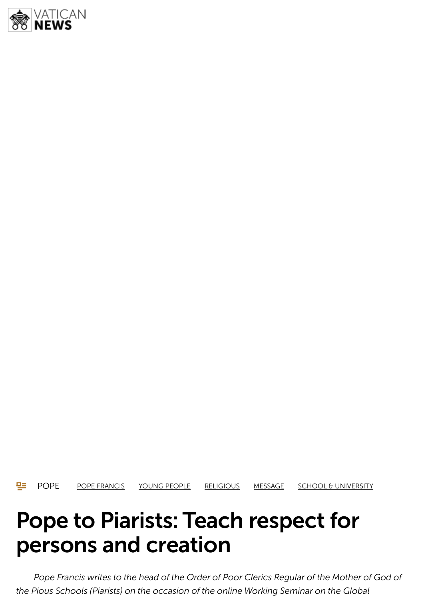

**POPE POPE FRANCIS YOUNG PEOPLE RELIGIOUS MESSAGE SCHOOL & UNIVERSITY** 

# Pope to Piarists: Teach respect for persons and creation

*Pope Francis writes to the head of the Order of Poor Clerics Regular of the Mother of God of the Pious Schools (Piarists) on the occasion of the online Working Seminar on the Global*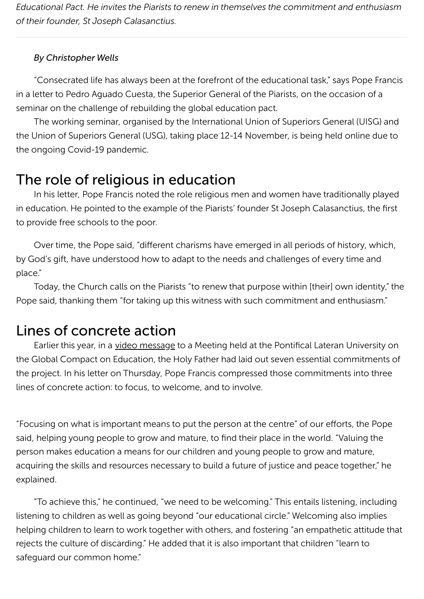*Educational Pact. He invites the Piarists to renew in themselves the commitment and enthusiasm of their founder, St Joseph Calasanctius.*

#### *By Christopher Wells*

"Consecrated life has always been at the forefront of the educational task," says Pope Francis in a letter to Pedro Aguado Cuesta, the Superior General of the Piarists, on the occasion of a seminar on the challenge of rebuilding the global education pact.

The working seminar, organised by the International Union of Superiors General (UISG) and the Union of Superiors General (USG), taking place 12-14 November, is being held online due to the ongoing Covid-19 pandemic.

### The role of religious in education

In his letter, Pope Francis noted the role religious men and women have traditionally played in education. He pointed to the example of the Piarists' founder St Joseph Calasanctius, the first to provide free schools to the poor.

Over time, the Pope said, "different charisms have emerged in all periods of history, which, by God's gift, have understood how to adapt to the needs and challenges of every time and place."

Today, the Church calls on the Piarists "to renew that purpose within [their] own identity," the Pope said, thanking them "for taking up this witness with such commitment and enthusiasm."

#### Lines of concrete action

Earlier this year, in a video message to a Meeting held at the Pontifical Lateran University on the Global Compact on Education, the Holy Father had laid out seven essential commitments of the project. In his letter on Thursday, Pope Francis compressed those commitments into three lines of concrete action: to focus, to welcome, and to involve.

"Focusing on what is important means to put the person at the centre" of our efforts, the Pope said, helping young people to grow and mature, to find their place in the world. "Valuing the person makes education a means for our children and young people to grow and mature, acquiring the skills and resources necessary to build a future of justice and peace together," he explained.

"To achieve this," he continued, "we need to be welcoming." This entails listening, including listening to children as well as going beyond "our educational circle." Welcoming also implies helping children to learn to work together with others, and fostering "an empathetic attitude that rejects the culture of discarding." He added that it is also important that children "learn to safequard our common home."